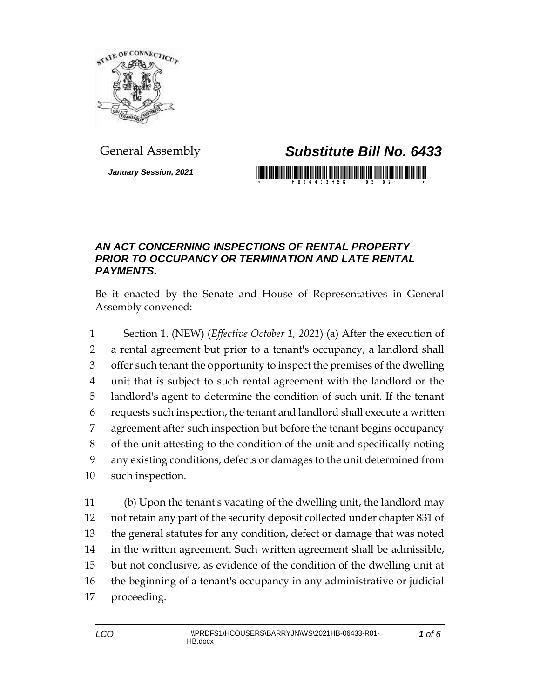

## General Assembly *Substitute Bill No. 6433*

*January Session, 2021*

## *AN ACT CONCERNING INSPECTIONS OF RENTAL PROPERTY PRIOR TO OCCUPANCY OR TERMINATION AND LATE RENTAL PAYMENTS.*

Be it enacted by the Senate and House of Representatives in General Assembly convened:

 Section 1. (NEW) (*Effective October 1, 2021*) (a) After the execution of a rental agreement but prior to a tenant's occupancy, a landlord shall offer such tenant the opportunity to inspect the premises of the dwelling unit that is subject to such rental agreement with the landlord or the landlord's agent to determine the condition of such unit. If the tenant requests such inspection, the tenant and landlord shall execute a written agreement after such inspection but before the tenant begins occupancy of the unit attesting to the condition of the unit and specifically noting any existing conditions, defects or damages to the unit determined from such inspection.

 (b) Upon the tenant's vacating of the dwelling unit, the landlord may not retain any part of the security deposit collected under chapter 831 of the general statutes for any condition, defect or damage that was noted in the written agreement. Such written agreement shall be admissible, but not conclusive, as evidence of the condition of the dwelling unit at the beginning of a tenant's occupancy in any administrative or judicial proceeding.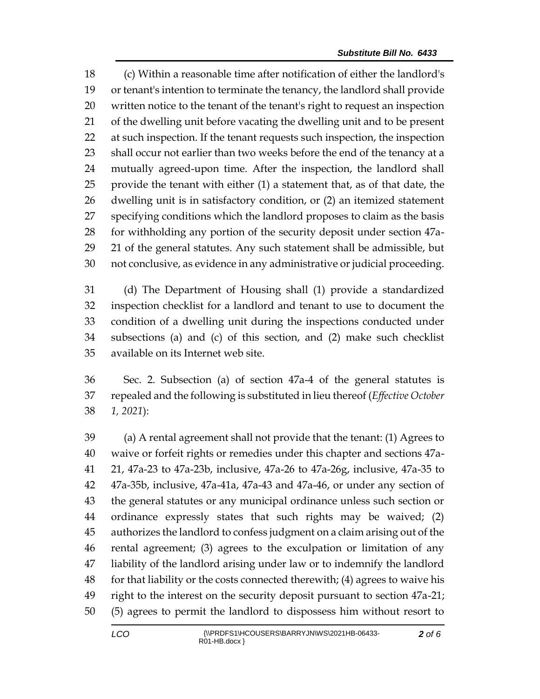(c) Within a reasonable time after notification of either the landlord's or tenant's intention to terminate the tenancy, the landlord shall provide written notice to the tenant of the tenant's right to request an inspection of the dwelling unit before vacating the dwelling unit and to be present at such inspection. If the tenant requests such inspection, the inspection 23 shall occur not earlier than two weeks before the end of the tenancy at a mutually agreed-upon time. After the inspection, the landlord shall provide the tenant with either (1) a statement that, as of that date, the dwelling unit is in satisfactory condition, or (2) an itemized statement specifying conditions which the landlord proposes to claim as the basis for withholding any portion of the security deposit under section 47a- 21 of the general statutes. Any such statement shall be admissible, but not conclusive, as evidence in any administrative or judicial proceeding.

 (d) The Department of Housing shall (1) provide a standardized inspection checklist for a landlord and tenant to use to document the condition of a dwelling unit during the inspections conducted under subsections (a) and (c) of this section, and (2) make such checklist available on its Internet web site.

 Sec. 2. Subsection (a) of section 47a-4 of the general statutes is repealed and the following is substituted in lieu thereof (*Effective October 1, 2021*):

 (a) A rental agreement shall not provide that the tenant: (1) Agrees to waive or forfeit rights or remedies under this chapter and sections 47a- 21, 47a-23 to 47a-23b, inclusive, 47a-26 to 47a-26g, inclusive, 47a-35 to 47a-35b, inclusive, 47a-41a, 47a-43 and 47a-46, or under any section of the general statutes or any municipal ordinance unless such section or ordinance expressly states that such rights may be waived; (2) authorizes the landlord to confess judgment on a claim arising out of the rental agreement; (3) agrees to the exculpation or limitation of any liability of the landlord arising under law or to indemnify the landlord for that liability or the costs connected therewith; (4) agrees to waive his right to the interest on the security deposit pursuant to section 47a-21; (5) agrees to permit the landlord to dispossess him without resort to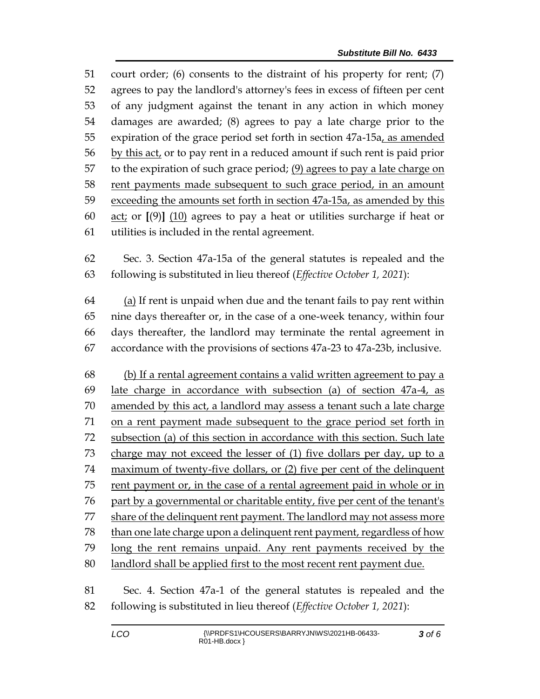court order; (6) consents to the distraint of his property for rent; (7) agrees to pay the landlord's attorney's fees in excess of fifteen per cent of any judgment against the tenant in any action in which money damages are awarded; (8) agrees to pay a late charge prior to the 55 expiration of the grace period set forth in section 47a-15a, as amended 56 by this act, or to pay rent in a reduced amount if such rent is paid prior to the expiration of such grace period; (9) agrees to pay a late charge on rent payments made subsequent to such grace period, in an amount exceeding the amounts set forth in section 47a-15a, as amended by this act; or **[**(9)**]** (10) agrees to pay a heat or utilities surcharge if heat or utilities is included in the rental agreement.

 Sec. 3. Section 47a-15a of the general statutes is repealed and the following is substituted in lieu thereof (*Effective October 1, 2021*):

 (a) If rent is unpaid when due and the tenant fails to pay rent within nine days thereafter or, in the case of a one-week tenancy, within four days thereafter, the landlord may terminate the rental agreement in accordance with the provisions of sections 47a-23 to 47a-23b, inclusive.

 (b) If a rental agreement contains a valid written agreement to pay a late charge in accordance with subsection (a) of section 47a-4, as amended by this act, a landlord may assess a tenant such a late charge on a rent payment made subsequent to the grace period set forth in subsection (a) of this section in accordance with this section. Such late charge may not exceed the lesser of (1) five dollars per day, up to a maximum of twenty-five dollars, or (2) five per cent of the delinquent rent payment or, in the case of a rental agreement paid in whole or in part by a governmental or charitable entity, five per cent of the tenant's share of the delinquent rent payment. The landlord may not assess more 78 than one late charge upon a delinquent rent payment, regardless of how long the rent remains unpaid. Any rent payments received by the landlord shall be applied first to the most recent rent payment due.

 Sec. 4. Section 47a-1 of the general statutes is repealed and the following is substituted in lieu thereof (*Effective October 1, 2021*):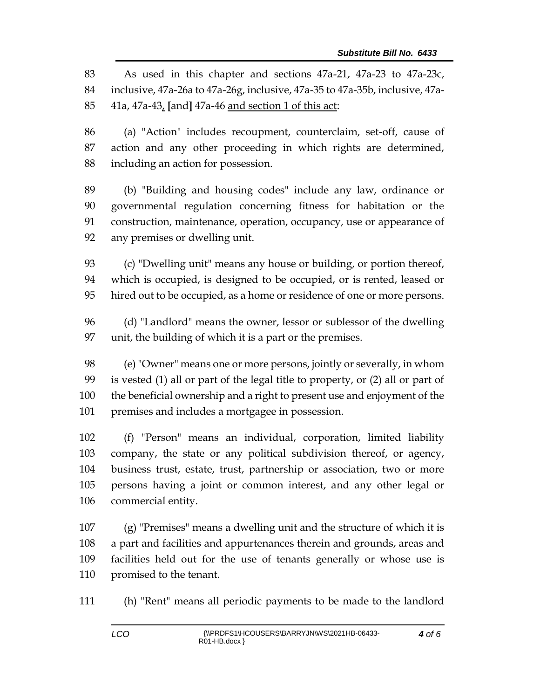As used in this chapter and sections 47a-21, 47a-23 to 47a-23c, inclusive, 47a-26a to 47a-26g, inclusive, 47a-35 to 47a-35b, inclusive, 47a-41a, 47a-43, **[**and**]** 47a-46 and section 1 of this act:

 (a) "Action" includes recoupment, counterclaim, set-off, cause of action and any other proceeding in which rights are determined, including an action for possession.

 (b) "Building and housing codes" include any law, ordinance or governmental regulation concerning fitness for habitation or the construction, maintenance, operation, occupancy, use or appearance of any premises or dwelling unit.

 (c) "Dwelling unit" means any house or building, or portion thereof, which is occupied, is designed to be occupied, or is rented, leased or hired out to be occupied, as a home or residence of one or more persons.

 (d) "Landlord" means the owner, lessor or sublessor of the dwelling unit, the building of which it is a part or the premises.

 (e) "Owner" means one or more persons, jointly or severally, in whom is vested (1) all or part of the legal title to property, or (2) all or part of the beneficial ownership and a right to present use and enjoyment of the premises and includes a mortgagee in possession.

 (f) "Person" means an individual, corporation, limited liability company, the state or any political subdivision thereof, or agency, business trust, estate, trust, partnership or association, two or more persons having a joint or common interest, and any other legal or commercial entity.

 (g) "Premises" means a dwelling unit and the structure of which it is a part and facilities and appurtenances therein and grounds, areas and facilities held out for the use of tenants generally or whose use is promised to the tenant.

(h) "Rent" means all periodic payments to be made to the landlord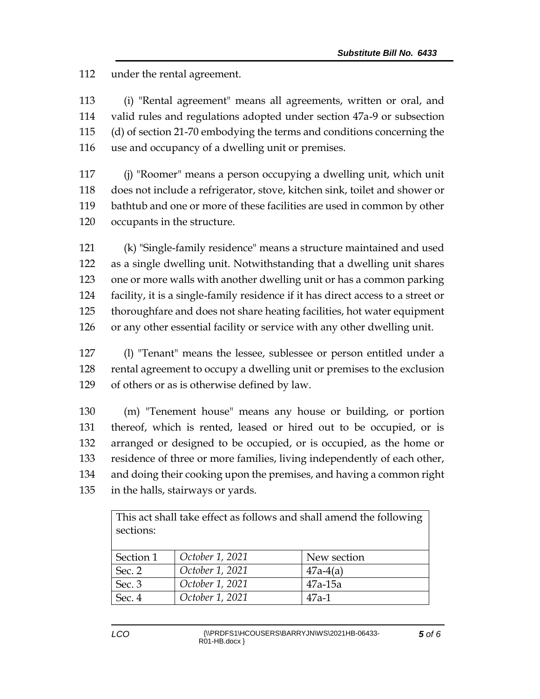under the rental agreement.

 (i) "Rental agreement" means all agreements, written or oral, and valid rules and regulations adopted under section 47a-9 or subsection (d) of section 21-70 embodying the terms and conditions concerning the use and occupancy of a dwelling unit or premises.

 (j) "Roomer" means a person occupying a dwelling unit, which unit does not include a refrigerator, stove, kitchen sink, toilet and shower or bathtub and one or more of these facilities are used in common by other occupants in the structure.

 (k) "Single-family residence" means a structure maintained and used as a single dwelling unit. Notwithstanding that a dwelling unit shares one or more walls with another dwelling unit or has a common parking facility, it is a single-family residence if it has direct access to a street or thoroughfare and does not share heating facilities, hot water equipment or any other essential facility or service with any other dwelling unit.

 (l) "Tenant" means the lessee, sublessee or person entitled under a rental agreement to occupy a dwelling unit or premises to the exclusion of others or as is otherwise defined by law.

 (m) "Tenement house" means any house or building, or portion thereof, which is rented, leased or hired out to be occupied, or is arranged or designed to be occupied, or is occupied, as the home or residence of three or more families, living independently of each other, and doing their cooking upon the premises, and having a common right in the halls, stairways or yards.

| This act shall take effect as follows and shall amend the following |                 |             |
|---------------------------------------------------------------------|-----------------|-------------|
| sections:                                                           |                 |             |
|                                                                     |                 |             |
| Section 1                                                           | October 1, 2021 | New section |
| Sec. 2                                                              | October 1, 2021 | $47a-4(a)$  |
| Sec. 3                                                              | October 1, 2021 | $47a-15a$   |
| Sec. 4                                                              | October 1, 2021 | $47a-1$     |